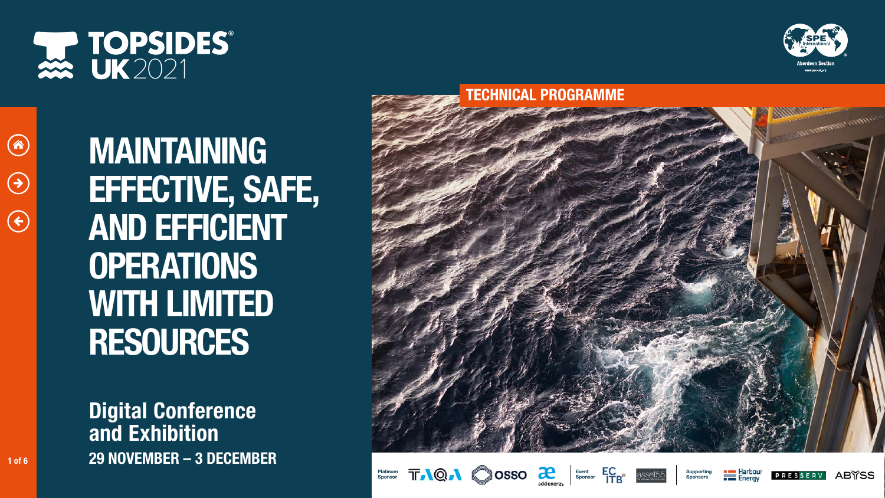Digital Conference and Exhibition 1 of 6 29 NOVEMBER - 3 DECEMBER





A)

 $\bigodot$ 

 $\left( \begin{matrix} 1 \\ 1 \end{matrix} \right)$ 



### TECHNICAL PROGRAMME





















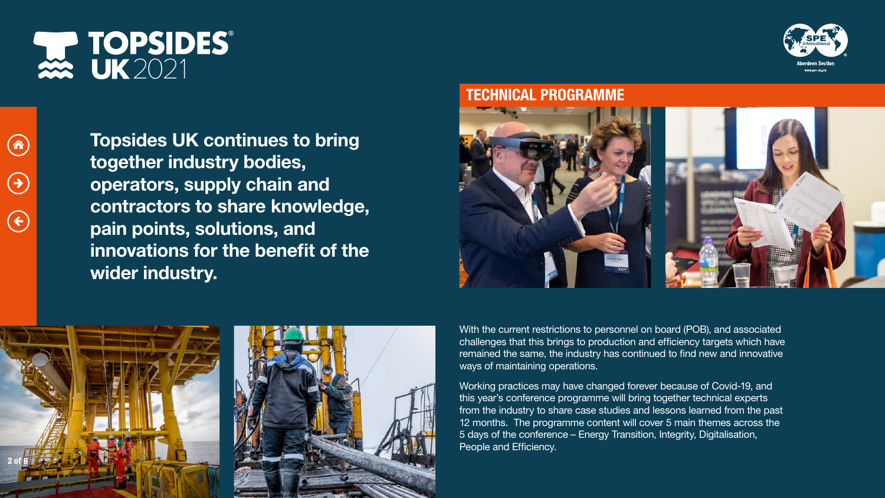$\left( 4\right)$ 

 $\bigodot$ 

 $\left( \begin{matrix} \boldsymbol{\epsilon} \end{matrix} \right)$ 

Topsides UK continues to bring together industry bodies, operators, supply chain and contractors to share knowledge, pain points, solutions, and innovations for the benefit of the wider industry.

> With the current restrictions to personnel on board (POB), and associated challenges that this brings to production and efficiency targets which have remained the same, the industry has continued to find new and innovative ways of maintaining operations.

> Working practices may have changed forever because of Covid-19, and this year's conference programme will bring together technical experts from the industry to share case studies and lessons learned from the past 12 months. The programme content will cover 5 main themes across the 5 days of the conference – Energy Transition, Integrity, Digitalisation, People and Efficiency.









### TECHNICAL PROGRAMME

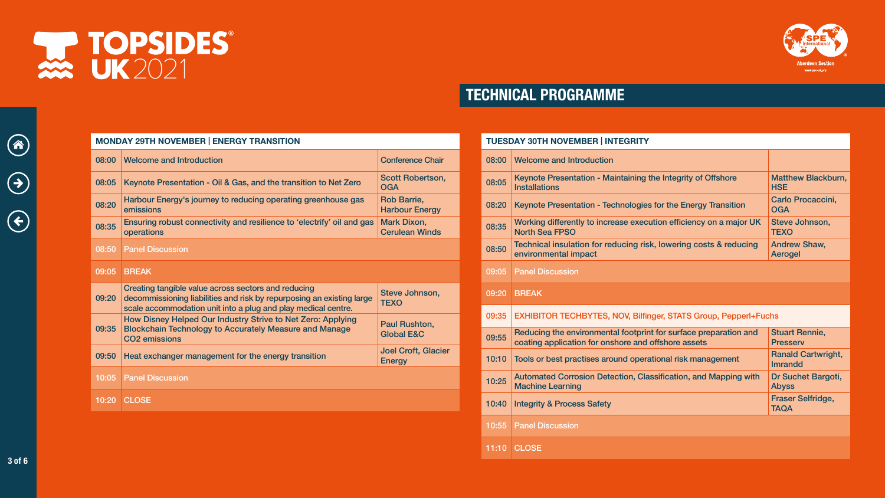#### MONDAY 29TH NOVEMBER | ENERGY TRANSITION

| 08:00 | <b>Welcome and Introduction</b>                                                                                                                                                               | <b>Conference Chair</b>                     |
|-------|-----------------------------------------------------------------------------------------------------------------------------------------------------------------------------------------------|---------------------------------------------|
| 08:05 | Keynote Presentation - Oil & Gas, and the transition to Net Zero                                                                                                                              | <b>Scott Robertson,</b><br><b>OGA</b>       |
| 08:20 | Harbour Energy's journey to reducing operating greenhouse gas<br>emissions                                                                                                                    | <b>Rob Barrie,</b><br><b>Harbour Energy</b> |
| 08:35 | Ensuring robust connectivity and resilience to 'electrify' oil and gas<br><b>operations</b>                                                                                                   | <b>Mark Dixon,</b><br><b>Cerulean Winds</b> |
| 08:50 | <b>Panel Discussion</b>                                                                                                                                                                       |                                             |
| 09:05 | <b>BREAK</b>                                                                                                                                                                                  |                                             |
|       |                                                                                                                                                                                               |                                             |
| 09:20 | Creating tangible value across sectors and reducing<br>decommissioning liabilities and risk by repurposing an existing large<br>scale accommodation unit into a plug and play medical centre. | Steve Johnson,<br><b>TEXO</b>               |
| 09:35 | How Disney Helped Our Industry Strive to Net Zero: Applying<br><b>Blockchain Technology to Accurately Measure and Manage</b><br><b>CO2</b> emissions                                          | Paul Rushton,<br><b>Global E&amp;C</b>      |
| 09:50 | Heat exchanger management for the energy transition                                                                                                                                           | <b>Joel Croft, Glacier</b><br><b>Energy</b> |
| 10:05 | <b>Panel Discussion</b>                                                                                                                                                                       |                                             |



vww<mark>.</mark>spe<mark>.uk.</mark>org

# 2 TOPSIDES®

3 of 6

 $\left(\hat{\bm{\alpha}}\right)$ 

 $\left( \rightarrow \right)$ 

 $\left( \begin{matrix} \boldsymbol{\epsilon} \end{matrix} \right)$ 

## TECHNICAL PROGRAMME

|                     |       | <b>TUESDAY 30TH NOVEMBER   INTEGRITY</b>                                                                                |                                             |
|---------------------|-------|-------------------------------------------------------------------------------------------------------------------------|---------------------------------------------|
| ce Chair            | 08:00 | <b>Welcome and Introduction</b>                                                                                         |                                             |
| bertson,            | 08:05 | Keynote Presentation - Maintaining the Integrity of Offshore<br><b>Installations</b>                                    | <b>Matthew Blackburn</b><br><b>HSE</b>      |
| ie,<br>Energy       | 08:20 | Keynote Presentation - Technologies for the Energy Transition                                                           | Carlo Procaccini,<br><b>OGA</b>             |
| on,<br><b>Winds</b> | 08:35 | Working differently to increase execution efficiency on a major UK<br><b>North Sea FPSO</b>                             | Steve Johnson,<br><b>TEXO</b>               |
|                     | 08:50 | Technical insulation for reducing risk, lowering costs & reducing<br>environmental impact                               | <b>Andrew Shaw,</b><br>Aerogel              |
|                     | 09:05 | <b>Panel Discussion</b>                                                                                                 |                                             |
| hnson,              | 09:20 | <b>BREAK</b>                                                                                                            |                                             |
| hton,               | 09:35 | <b>EXHIBITOR TECHBYTES, NOV, Bilfinger, STATS Group, Pepperl+Fuchs</b>                                                  |                                             |
| <b>&amp;C</b>       | 09:55 | Reducing the environmental footprint for surface preparation and<br>coating application for onshore and offshore assets | <b>Stuart Rennie,</b><br><b>Presserv</b>    |
| t, Glacier          | 10:10 | Tools or best practises around operational risk management                                                              | <b>Ranald Cartwright,</b><br><b>Imrandd</b> |
|                     | 10:25 | Automated Corrosion Detection, Classification, and Mapping with<br><b>Machine Learning</b>                              | Dr Suchet Bargoti,<br><b>Abyss</b>          |
|                     | 10:40 | <b>Integrity &amp; Process Safety</b>                                                                                   | <b>Fraser Selfridge,</b><br><b>TAQA</b>     |
|                     | 10:55 | <b>Panel Discussion</b>                                                                                                 |                                             |
|                     | 11:10 | <b>CLOSE</b>                                                                                                            |                                             |



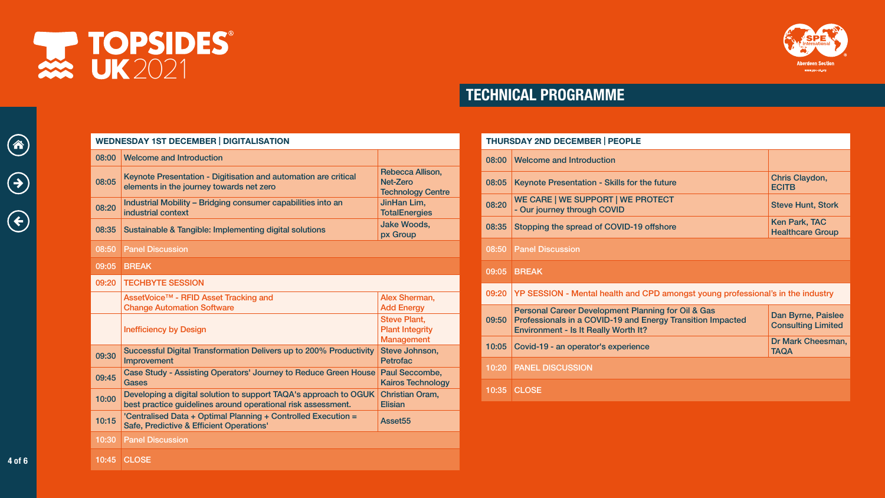4 of 6

企

 $\bigodot$ 

 $\bigodot$ 

# TECHNICAL PROGRAMME

| Allison, |
|----------|

gy Centre im, rgies

rman, **Address** ant, egrity nent hnson,

combe, echnology Oram,

| <b>THURSDAY 2ND DECEMBER   PEOPLE</b> |                                                                                                                                                                            |                                                        |
|---------------------------------------|----------------------------------------------------------------------------------------------------------------------------------------------------------------------------|--------------------------------------------------------|
| 08:00                                 | <b>Welcome and Introduction</b>                                                                                                                                            |                                                        |
| 08:05                                 | Keynote Presentation - Skills for the future                                                                                                                               | Chris Claydon,<br><b>ECITB</b>                         |
| 08:20                                 | WE CARE   WE SUPPORT   WE PROTECT<br>- Our journey through COVID                                                                                                           | <b>Steve Hunt, Stork</b>                               |
| 08:35                                 | Stopping the spread of COVID-19 offshore                                                                                                                                   | Ken Park, TAC<br><b>Healthcare Group</b>               |
| 08:50                                 | <b>Panel Discussion</b>                                                                                                                                                    |                                                        |
| 09:05                                 | <b>BREAK</b>                                                                                                                                                               |                                                        |
|                                       |                                                                                                                                                                            |                                                        |
| 09:20                                 | YP SESSION - Mental health and CPD amongst young professional's in the industry                                                                                            |                                                        |
| 09:50                                 | <b>Personal Career Development Planning for Oil &amp; Gas</b><br>Professionals in a COVID-19 and Energy Transition Impacted<br><b>Environment - Is It Really Worth It?</b> | <b>Dan Byrne, Paislee</b><br><b>Consulting Limited</b> |
| 10:05                                 | Covid-19 - an operator's experience                                                                                                                                        | Dr Mark Cheesman,<br><b>TAQA</b>                       |
| 10:20                                 | <b>PANEL DISCUSSION</b>                                                                                                                                                    |                                                        |





#### WEDNESDAY 1ST DECEMBER | DIGITALISATION

| 08:00 | <b>Welcome and Introduction</b>                                                                                                  |                                                                    |  |
|-------|----------------------------------------------------------------------------------------------------------------------------------|--------------------------------------------------------------------|--|
| 08:05 | Keynote Presentation - Digitisation and automation are critical<br>elements in the journey towards net zero                      | Rebecca Allison,<br>Net-Zero<br><b>Technology Centr</b>            |  |
| 08:20 | Industrial Mobility – Bridging consumer capabilities into an<br>industrial context                                               | JinHan Lim,<br><b>TotalEnergies</b>                                |  |
| 08:35 | <b>Jake Woods,</b><br>Sustainable & Tangible: Implementing digital solutions<br>px Group                                         |                                                                    |  |
| 08:50 | <b>Panel Discussion</b>                                                                                                          |                                                                    |  |
| 09:05 | <b>BREAK</b>                                                                                                                     |                                                                    |  |
| 09:20 | <b>TECHBYTE SESSION</b>                                                                                                          |                                                                    |  |
|       | AssetVoice™ - RFID Asset Tracking and<br><b>Change Automation Software</b>                                                       | Alex Sherman,<br><b>Add Energy</b>                                 |  |
|       | <b>Inefficiency by Design</b>                                                                                                    | <b>Steve Plant,</b><br><b>Plant Integrity</b><br><b>Management</b> |  |
| 09:30 | Successful Digital Transformation Delivers up to 200% Productivity<br>Improvement                                                | Steve Johnson,<br><b>Petrofac</b>                                  |  |
| 09:45 | <b>Case Study - Assisting Operators' Journey to Reduce Green House</b><br><b>Gases</b>                                           | <b>Paul Seccombe,</b><br><b>Kairos Technolog</b>                   |  |
| 10:00 | Developing a digital solution to support TAQA's approach to OGUK<br>best practice guidelines around operational risk assessment. | <b>Christian Oram,</b><br><b>Elisian</b>                           |  |
| 10:15 | 'Centralised Data + Optimal Planning + Controlled Execution =<br><b>Safe, Predictive &amp; Efficient Operations'</b>             | Asset55                                                            |  |
| 10:30 | <b>Panel Discussion</b>                                                                                                          |                                                                    |  |
| 10:45 | <b>CLOSE</b>                                                                                                                     |                                                                    |  |



berdeen Secti www**.**spe.uk.org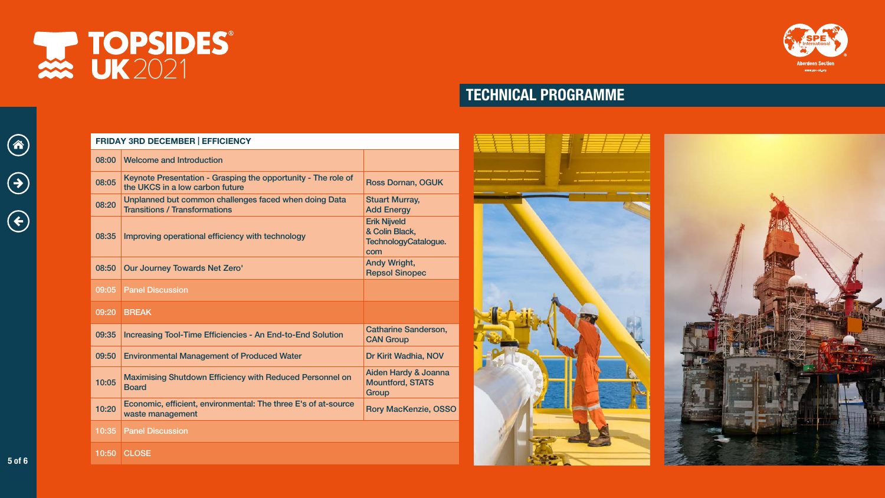5 of 6

 $\bigcirc$ 

 $\bigodot$ 

 $\bigodot$ 

# TECHNICAL PROGRAMME







#### FRIDAY 3RD DECEMBER | EFFICIENCY

| 08:00 | <b>Welcome and Introduction</b>                                                                  |                                                                      |
|-------|--------------------------------------------------------------------------------------------------|----------------------------------------------------------------------|
| 08:05 | Keynote Presentation - Grasping the opportunity - The role of<br>the UKCS in a low carbon future | <b>Ross Dornan, OGUK</b>                                             |
| 08:20 | Unplanned but common challenges faced when doing Data<br><b>Transitions / Transformations</b>    | <b>Stuart Murray,</b><br><b>Add Energy</b>                           |
| 08:35 | Improving operational efficiency with technology                                                 | <b>Erik Nijveld</b><br>& Colin Black,<br>TechnologyCatalogue.<br>com |
| 08:50 | <b>Our Journey Towards Net Zero'</b>                                                             | <b>Andy Wright,</b><br><b>Repsol Sinopec</b>                         |
| 09:05 | <b>Panel Discussion</b>                                                                          |                                                                      |
|       |                                                                                                  |                                                                      |
| 09:20 | <b>BREAK</b>                                                                                     |                                                                      |
| 09:35 | Increasing Tool-Time Efficiencies - An End-to-End Solution                                       | <b>Catharine Sanderson,</b><br><b>CAN Group</b>                      |
| 09:50 | <b>Environmental Management of Produced Water</b>                                                | Dr Kirit Wadhia, NOV                                                 |
| 10:05 | <b>Maximising Shutdown Efficiency with Reduced Personnel on</b><br><b>Board</b>                  | Aiden Hardy & Joanna<br><b>Mountford, STATS</b><br>Group             |
| 10:20 | Economic, efficient, environmental: The three E's of at-source<br>waste management               | <b>Rory MacKenzie, OSSO</b>                                          |
| 10:35 | <b>Panel Discussion</b>                                                                          |                                                                      |



berdeen Secti www.spe.uk.org